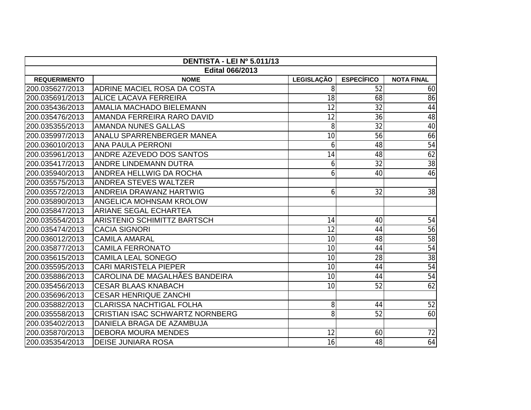| DENTISTA - LEI Nº 5.011/13 |                                        |            |                   |                   |  |  |  |  |
|----------------------------|----------------------------------------|------------|-------------------|-------------------|--|--|--|--|
| <b>Edital 066/2013</b>     |                                        |            |                   |                   |  |  |  |  |
| <b>REQUERIMENTO</b>        | <b>NOME</b>                            | LEGISLAÇÃO | <b>ESPECÍFICO</b> | <b>NOTA FINAL</b> |  |  |  |  |
| 200.035627/2013            | ADRINE MACIEL ROSA DA COSTA            | 8          | 52                | 60                |  |  |  |  |
| 200.035691/2013            | <b>ALICE LACAVA FERREIRA</b>           | 18         | 68                | 86                |  |  |  |  |
| 200.035436/2013            | <b>AMALIA MACHADO BIELEMANN</b>        | 12         | 32                | 44                |  |  |  |  |
| 200.035476/2013            | AMANDA FERREIRA RARO DAVID             | 12         | 36                | 48                |  |  |  |  |
| 200.035355/2013            | <b>AMANDA NUNES GALLAS</b>             | 8          | 32                | 40                |  |  |  |  |
| 200.035997/2013            | ANALU SPARRENBERGER MANEA              | 10         | 56                | 66                |  |  |  |  |
| 200.036010/2013            | <b>ANA PAULA PERRONI</b>               | 6          | 48                | $\overline{54}$   |  |  |  |  |
| 200.035961/2013            | <b>ANDRE AZEVEDO DOS SANTOS</b>        | 14         | 48                | 62                |  |  |  |  |
| 200.035417/2013            | ANDRE LINDEMANN DUTRA                  | 6          | 32                | 38                |  |  |  |  |
| 200.035940/2013            | ANDREA HELLWIG DA ROCHA                | 6          | 40                | 46                |  |  |  |  |
| 200.035575/2013            | <b>ANDREA STEVES WALTZER</b>           |            |                   |                   |  |  |  |  |
| 200.035572/2013            | <b>ANDREIA DRAWANZ HARTWIG</b>         | 6          | 32                | 38                |  |  |  |  |
| 200.035890/2013            | <b>ANGELICA MOHNSAM KROLOW</b>         |            |                   |                   |  |  |  |  |
| 200.035847/2013            | <b>ARIANE SEGAL ECHARTEA</b>           |            |                   |                   |  |  |  |  |
| 200.035554/2013            | ARISTENIO SCHIMITTZ BARTSCH            | 14         | 40                | 54                |  |  |  |  |
| 200.035474/2013            | <b>CACIA SIGNORI</b>                   | 12         | 44                | 56                |  |  |  |  |
| 200.036012/2013            | <b>CAMILA AMARAL</b>                   | 10         | 48                | 58                |  |  |  |  |
| 200.035877/2013            | <b>CAMILA FERRONATO</b>                | 10         | 44                | 54                |  |  |  |  |
| 200.035615/2013            | <b>CAMILA LEAL SONEGO</b>              | 10         | 28                | $\overline{38}$   |  |  |  |  |
| 200.035595/2013            | <b>CARI MARISTELA PIEPER</b>           | 10         | 44                | 54                |  |  |  |  |
| 200.035886/2013            | CAROLINA DE MAGALHÃES BANDEIRA         | 10         | 44                | 54                |  |  |  |  |
| 200.035456/2013            | <b>CESAR BLAAS KNABACH</b>             | 10         | 52                | 62                |  |  |  |  |
| 200.035696/2013            | <b>CESAR HENRIQUE ZANCHI</b>           |            |                   |                   |  |  |  |  |
| 200.035882/2013            | <b>CLARISSA NACHTIGAL FOLHA</b>        | 8          | 44                | 52                |  |  |  |  |
| 200.035558/2013            | <b>CRISTIAN ISAC SCHWARTZ NORNBERG</b> | 8          | 52                | 60                |  |  |  |  |
| 200.035402/2013            | DANIELA BRAGA DE AZAMBUJA              |            |                   |                   |  |  |  |  |
| 200.035870/2013            | <b>DEBORA MOURA MENDES</b>             | 12         | 60                | 72                |  |  |  |  |
| 200.035354/2013            | <b>DEISE JUNIARA ROSA</b>              | 16         | 48                | 64                |  |  |  |  |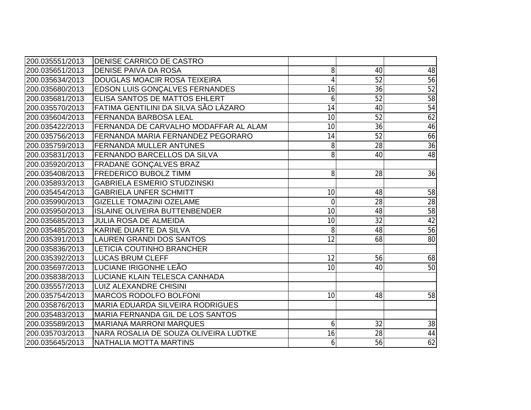| 200.035551/2013 | <b>DENISE CARRICO DE CASTRO</b>           |                |                 |                 |
|-----------------|-------------------------------------------|----------------|-----------------|-----------------|
| 200.035651/2013 | <b>DENISE PAIVA DA ROSA</b>               | 8              | 40              | 48              |
| 200.035634/2013 | DOUGLAS MOACIR ROSA TEIXEIRA              |                | 52              | 56              |
| 200.035680/2013 | <b>EDSON LUIS GONÇALVES FERNANDES</b>     | 16             | 36              | 52              |
| 200.035681/2013 | ELISA SANTOS DE MATTOS EHLERT             | 6              | 52              | 58              |
| 200.035570/2013 | FATIMA GENTILINI DA SILVA SÃO LÁZARO      | 14             | 40              | 54              |
| 200.035604/2013 | <b>FERNANDA BARBOSA LEAL</b>              | 10             | 52              | 62              |
| 200.035422/2013 | FERNANDA DE CARVALHO MODAFFAR AL ALAM     | 10             | $\overline{36}$ | 46              |
| 200.035756/2013 | <b>IFERNANDA MARIA FERNANDEZ PEGORARO</b> | 14             | 52              | 66              |
| 200.035759/2013 | <b>IFERNANDA MULLER ANTUNES</b>           | 8              | 28              | 36              |
| 200.035831/2013 | <b>FERNANDO BARCELLOS DA SILVA</b>        | 8              | 40              | 48              |
| 200.035920/2013 | <b>FRADANE GONÇALVES BRAZ</b>             |                |                 |                 |
| 200.035408/2013 | <b>FREDERICO BUBOLZ TIMM</b>              | 8              | 28              | $\overline{36}$ |
| 200.035893/2013 | <b>GABRIELA ESMERIO STUDZINSKI</b>        |                |                 |                 |
| 200.035454/2013 | <b>GABRIELA UNFER SCHMITT</b>             | 10             | 48              | 58              |
| 200.035990/2013 | <b>GIZELLE TOMAZINI OZELAME</b>           | $\overline{0}$ | 28              | $28$            |
| 200.035950/2013 | <b>ISLAINE OLIVEIRA BUTTENBENDER</b>      | 10             | 48              | 58              |
| 200.035685/2013 | <b>JULIA ROSA DE ALMEIDA</b>              | 10             | 32              | 42              |
| 200.035485/2013 | <b>KARINE DUARTE DA SILVA</b>             | 8              | 48              | 56              |
| 200.035391/2013 | <b>LAUREN GRANDI DOS SANTOS</b>           | 12             | 68              | $\overline{80}$ |
| 200.035836/2013 | <b>LETICIA COUTINHO BRANCHER</b>          |                |                 |                 |
| 200.035392/2013 | <b>LUCAS BRUM CLEFF</b>                   | 12             | 56              | 68              |
| 200.035697/2013 | LUCIANE IRIGONHE LEÃO                     | 10             | 40              | $\overline{50}$ |
| 200.035838/2013 | LUCIANE KLAIN TELESCA CANHADA             |                |                 |                 |
| 200.035557/2013 | <b>LUIZ ALEXANDRE CHISINI</b>             |                |                 |                 |
| 200.035754/2013 | <b>MARCOS RODOLFO BOLFONI</b>             | 10             | 48              | 58              |
| 200.035876/2013 | <b>MARIA EDUARDA SILVEIRA RODRIGUES</b>   |                |                 |                 |
| 200.035483/2013 | MARIA FERNANDA GIL DE LOS SANTOS          |                |                 |                 |
| 200.035589/2013 | <b>MARIANA MARRONI MARQUES</b>            | 6              | 32              | 38              |
| 200.035703/2013 | NARA ROSALIA DE SOUZA OLIVEIRA LUDTKE     | 16             | 28              | $44\,$          |
| 200.035645/2013 | NATHALIA MOTTA MARTINS                    | $6 \mid$       | 56              | 62              |